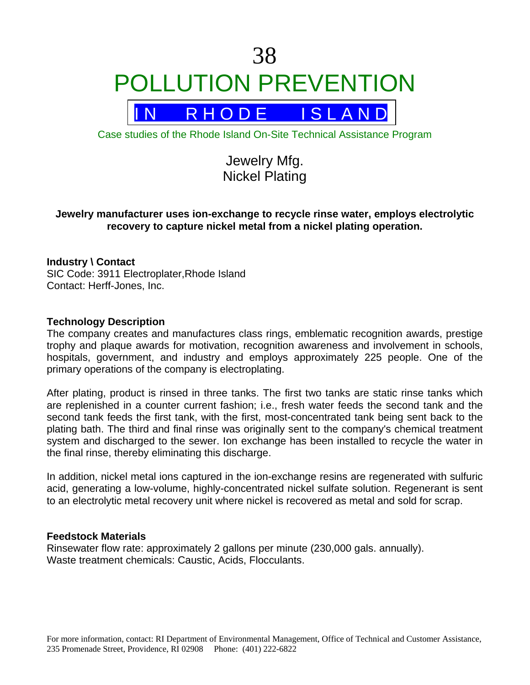# 38 POLLUTION PREVENTION

R H O D E I S L A N D

Case studies of the Rhode Island On-Site Technical Assistance Program

Jewelry Mfg. Nickel Plating

# **Jewelry manufacturer uses ion-exchange to recycle rinse water, employs electrolytic recovery to capture nickel metal from a nickel plating operation.**

# **Industry \ Contact**

SIC Code: 3911 Electroplater,Rhode Island Contact: Herff-Jones, Inc.

#### **Technology Description**

The company creates and manufactures class rings, emblematic recognition awards, prestige trophy and plaque awards for motivation, recognition awareness and involvement in schools, hospitals, government, and industry and employs approximately 225 people. One of the primary operations of the company is electroplating.

After plating, product is rinsed in three tanks. The first two tanks are static rinse tanks which are replenished in a counter current fashion; i.e., fresh water feeds the second tank and the second tank feeds the first tank, with the first, most-concentrated tank being sent back to the plating bath. The third and final rinse was originally sent to the company's chemical treatment system and discharged to the sewer. Ion exchange has been installed to recycle the water in the final rinse, thereby eliminating this discharge.

In addition, nickel metal ions captured in the ion-exchange resins are regenerated with sulfuric acid, generating a low-volume, highly-concentrated nickel sulfate solution. Regenerant is sent to an electrolytic metal recovery unit where nickel is recovered as metal and sold for scrap.

#### **Feedstock Materials**

Rinsewater flow rate: approximately 2 gallons per minute (230,000 gals. annually). Waste treatment chemicals: Caustic, Acids, Flocculants.